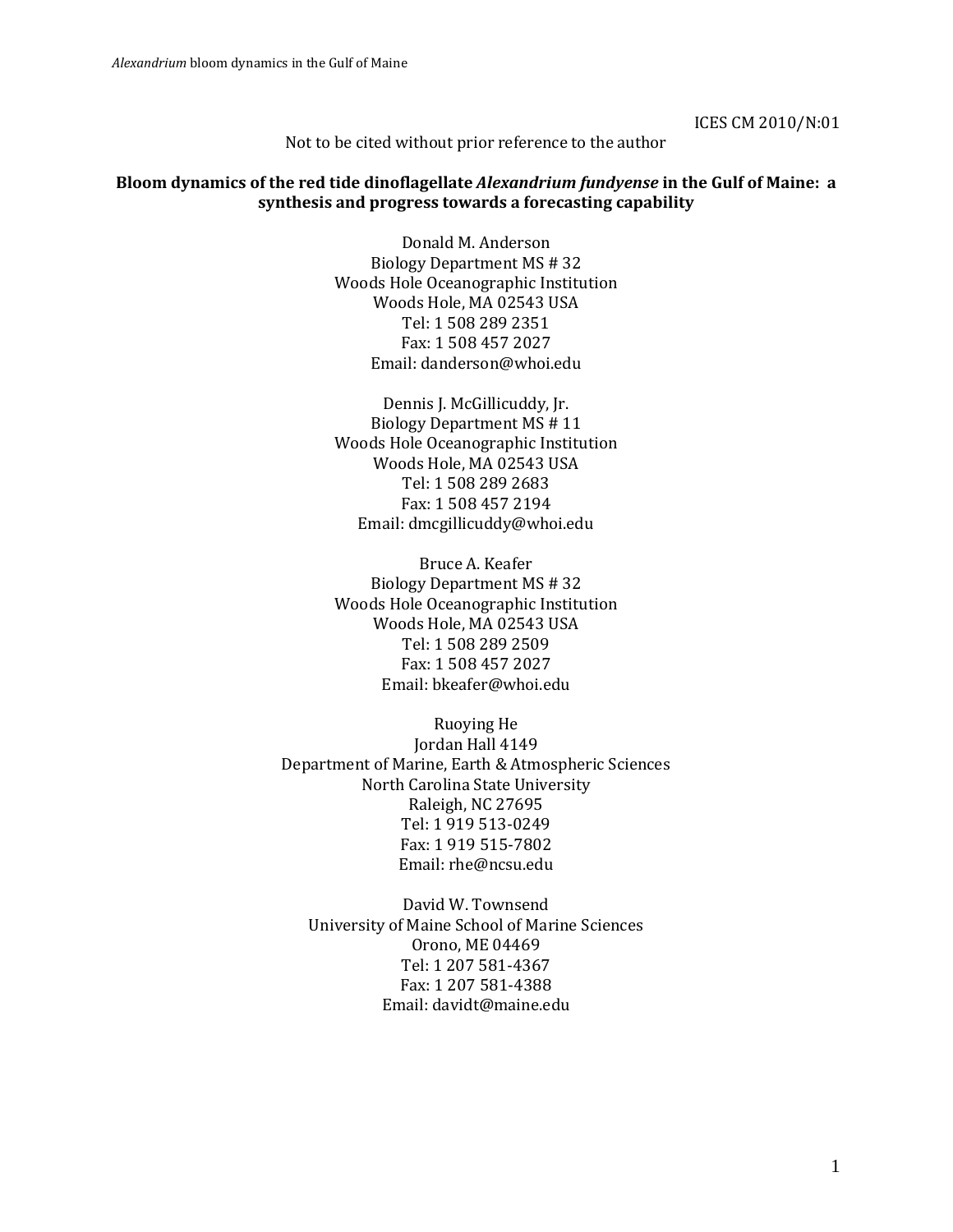ICES CM 2010/N:01

Not to be cited without prior reference to the author

#### **Bloom dynamics of the red tide dinoflagellate** *Alexandrium fundyense* **in the Gulf of Maine: a synthesis and progress towards a forecasting capability**

Donald M. Anderson Biology Department MS # 32 Woods Hole Oceanographic Institution Woods Hole, MA 02543 USA Tel: 1 508 289 2351 Fax: 1 508 457 2027 Email: danderson@whoi.edu

Dennis J. McGillicuddy, Jr. Biology Department MS # 11 Woods Hole Oceanographic Institution Woods Hole, MA 02543 USA Tel: 1 508 289 2683 Fax: 1 508 457 2194 Email: dmcgillicuddy@whoi.edu

Bruce A. Keafer Biology Department MS # 32 Woods Hole Oceanographic Institution Woods Hole, MA 02543 USA Tel: 1 508 289 2509 Fax: 1 508 457 2027 Email: bkeafer@whoi.edu

Ruoying He Jordan Hall 4149 Department of Marine, Earth & Atmospheric Sciences North Carolina State University Raleigh, NC 27695 Tel: 1 919 513-0249 Fax: 1 919 515-7802 Email: [rhe@ncsu.edu](mailto:rhe@ncsu.edu)

David W. Townsend University of Maine School of Marine Sciences Orono, ME 04469 Tel: 1 207 581-4367 Fax: 1 207 581-4388 Email: davidt@maine.edu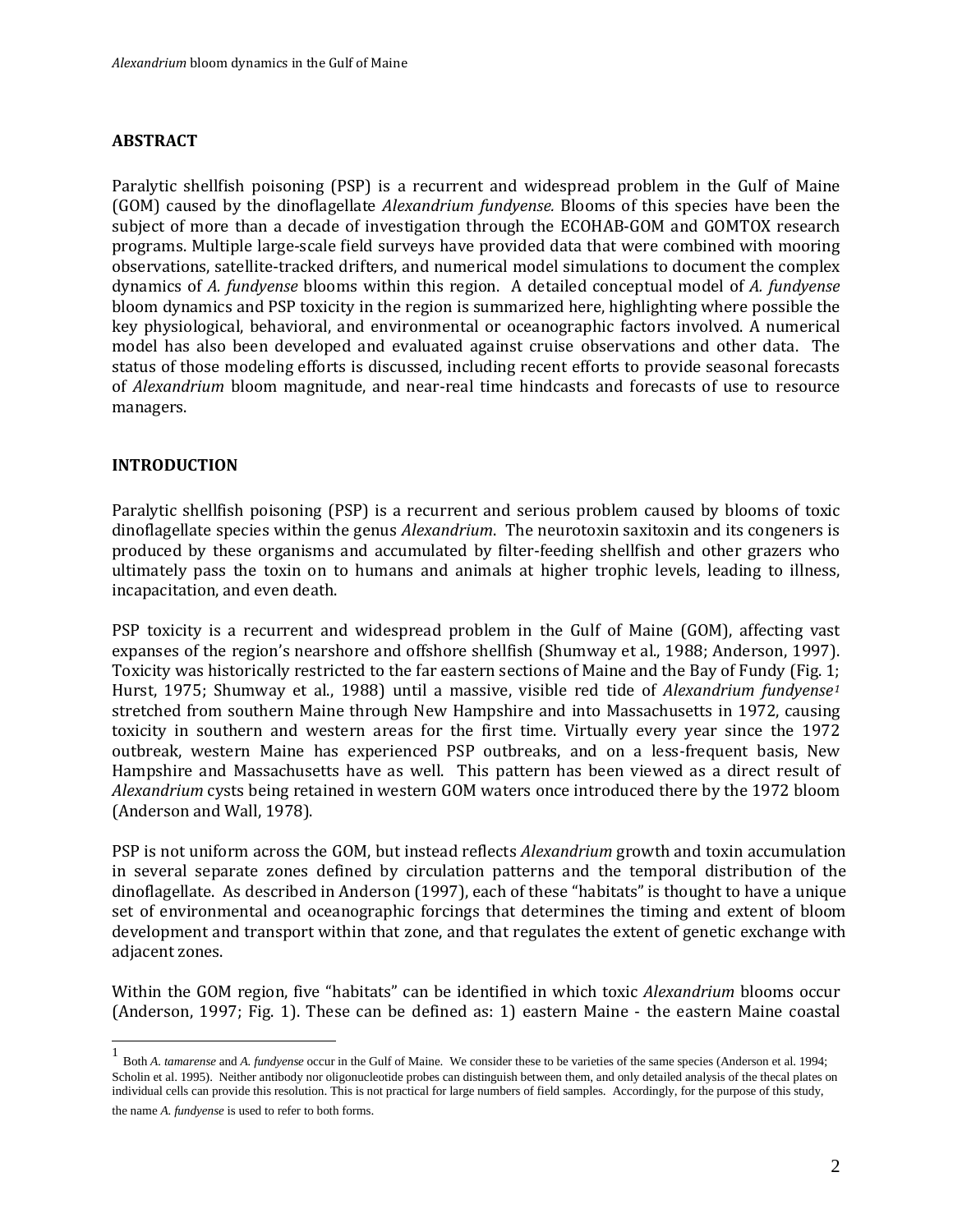### **ABSTRACT**

Paralytic shellfish poisoning (PSP) is a recurrent and widespread problem in the Gulf of Maine (GOM) caused by the dinoflagellate *Alexandrium fundyense.* Blooms of this species have been the subject of more than a decade of investigation through the ECOHAB-GOM and GOMTOX research programs. Multiple large-scale field surveys have provided data that were combined with mooring observations, satellite-tracked drifters, and numerical model simulations to document the complex dynamics of *A. fundyense* blooms within this region. A detailed conceptual model of *A. fundyense* bloom dynamics and PSP toxicity in the region is summarized here, highlighting where possible the key physiological, behavioral, and environmental or oceanographic factors involved. A numerical model has also been developed and evaluated against cruise observations and other data. The status of those modeling efforts is discussed, including recent efforts to provide seasonal forecasts of *Alexandrium* bloom magnitude, and near-real time hindcasts and forecasts of use to resource managers.

### **INTRODUCTION**

Paralytic shellfish poisoning (PSP) is a recurrent and serious problem caused by blooms of toxic dinoflagellate species within the genus *Alexandrium*. The neurotoxin saxitoxin and its congeners is produced by these organisms and accumulated by filter-feeding shellfish and other grazers who ultimately pass the toxin on to humans and animals at higher trophic levels, leading to illness, incapacitation, and even death.

PSP toxicity is a recurrent and widespread problem in the Gulf of Maine (GOM), affecting vast expanses of the region's nearshore and offshore shellfish (Shumway et al., 1988; Anderson, 1997). Toxicity was historically restricted to the far eastern sections of Maine and the Bay of Fundy (Fig. 1; Hurst, 1975; Shumway et al., 1988) until a massive, visible red tide of *Alexandrium fundyense[1](#page-1-0)* stretched from southern Maine through New Hampshire and into Massachusetts in 1972, causing toxicity in southern and western areas for the first time. Virtually every year since the 1972 outbreak, western Maine has experienced PSP outbreaks, and on a less-frequent basis, New Hampshire and Massachusetts have as well. This pattern has been viewed as a direct result of *Alexandrium* cysts being retained in western GOM waters once introduced there by the 1972 bloom (Anderson and Wall, 1978).

PSP is not uniform across the GOM, but instead reflects *Alexandrium* growth and toxin accumulation in several separate zones defined by circulation patterns and the temporal distribution of the dinoflagellate. As described in Anderson (1997), each of these "habitats" is thought to have a unique set of environmental and oceanographic forcings that determines the timing and extent of bloom development and transport within that zone, and that regulates the extent of genetic exchange with adjacent zones.

Within the GOM region, five "habitats" can be identified in which toxic *Alexandrium* blooms occur (Anderson, 1997; Fig. 1). These can be defined as: 1) eastern Maine - the eastern Maine coastal

<span id="page-1-0"></span>1 Both *A. tamarense* and *A. fundyense* occur in the Gulf of Maine. We consider these to be varieties of the same species (Anderson et al. 1994; Scholin et al. 1995). Neither antibody nor oligonucleotide probes can distinguish between them, and only detailed analysis of the thecal plates on individual cells can provide this resolution. This is not practical for large numbers of field samples. Accordingly, for the purpose of this study,

the name *A. fundyense* is used to refer to both forms.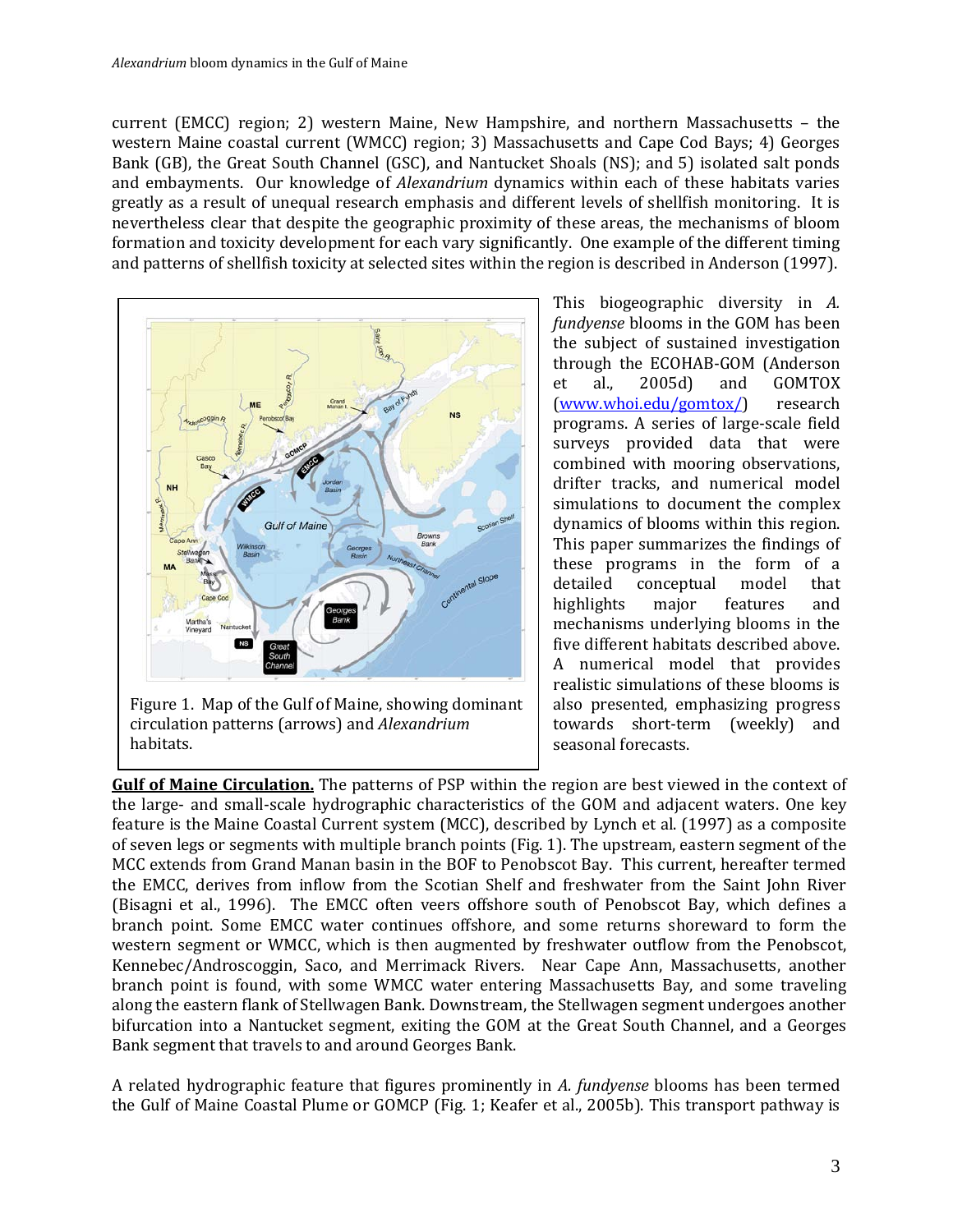current (EMCC) region; 2) western Maine, New Hampshire, and northern Massachusetts – the western Maine coastal current (WMCC) region; 3) Massachusetts and Cape Cod Bays; 4) Georges Bank (GB), the Great South Channel (GSC), and Nantucket Shoals (NS); and 5) isolated salt ponds and embayments. Our knowledge of *Alexandrium* dynamics within each of these habitats varies greatly as a result of unequal research emphasis and different levels of shellfish monitoring. It is nevertheless clear that despite the geographic proximity of these areas, the mechanisms of bloom formation and toxicity development for each vary significantly. One example of the different timing and patterns of shellfish toxicity at selected sites within the region is described in Anderson (1997).



Figure 1. Map of the Gulf of Maine, showing dominant circulation patterns (arrows) and *Alexandrium* habitats.

This biogeographic diversity in *A. fundyense* blooms in the GOM has been the subject of sustained investigation through the ECOHAB-GOM (Anderson<br>et al., 2005d) and GOMTOX GOMTOX<br>research  $(www.whoi.edu/gomtox))$ programs. A series of large-scale field surveys provided data that were combined with mooring observations, drifter tracks, and numerical model simulations to document the complex dynamics of blooms within this region. This paper summarizes the findings of these programs in the form of a conceptual model<br>major features highlights major features and mechanisms underlying blooms in the five different habitats described above. A numerical model that provides realistic simulations of these blooms is also presented, emphasizing progress towards short-term (weekly) and seasonal forecasts.

**Gulf of Maine Circulation.** The patterns of PSP within the region are best viewed in the context of the large- and small-scale hydrographic characteristics of the GOM and adjacent waters. One key feature is the Maine Coastal Current system (MCC), described by Lynch et al. (1997) as a composite of seven legs or segments with multiple branch points (Fig. 1). The upstream, eastern segment of the MCC extends from Grand Manan basin in the BOF to Penobscot Bay. This current, hereafter termed the EMCC, derives from inflow from the Scotian Shelf and freshwater from the Saint John River (Bisagni et al., 1996). The EMCC often veers offshore south of Penobscot Bay, which defines a branch point. Some EMCC water continues offshore, and some returns shoreward to form the western segment or WMCC, which is then augmented by freshwater outflow from the Penobscot, Kennebec/Androscoggin, Saco, and Merrimack Rivers. Near Cape Ann, Massachusetts, another branch point is found, with some WMCC water entering Massachusetts Bay, and some traveling along the eastern flank of Stellwagen Bank. Downstream, the Stellwagen segment undergoes another bifurcation into a Nantucket segment, exiting the GOM at the Great South Channel, and a Georges Bank segment that travels to and around Georges Bank.

A related hydrographic feature that figures prominently in *A. fundyense* blooms has been termed the Gulf of Maine Coastal Plume or GOMCP (Fig. 1; Keafer et al., 2005b). This transport pathway is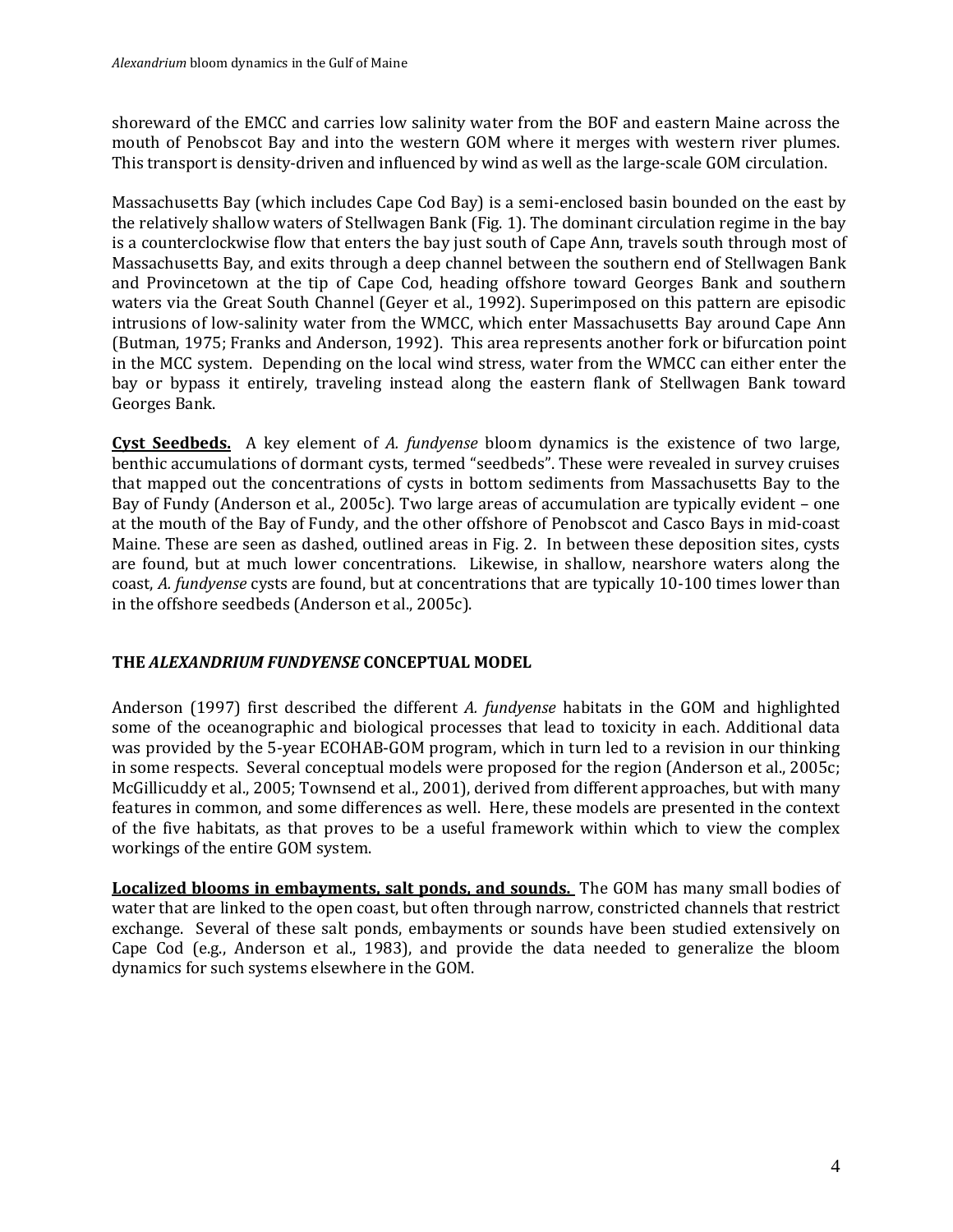shoreward of the EMCC and carries low salinity water from the BOF and eastern Maine across the mouth of Penobscot Bay and into the western GOM where it merges with western river plumes. This transport is density-driven and influenced by wind as well as the large-scale GOM circulation.

Massachusetts Bay (which includes Cape Cod Bay) is a semi-enclosed basin bounded on the east by the relatively shallow waters of Stellwagen Bank (Fig. 1). The dominant circulation regime in the bay is a counterclockwise flow that enters the bay just south of Cape Ann, travels south through most of Massachusetts Bay, and exits through a deep channel between the southern end of Stellwagen Bank and Provincetown at the tip of Cape Cod, heading offshore toward Georges Bank and southern waters via the Great South Channel (Geyer et al., 1992). Superimposed on this pattern are episodic intrusions of low-salinity water from the WMCC, which enter Massachusetts Bay around Cape Ann (Butman, 1975; Franks and Anderson, 1992). This area represents another fork or bifurcation point in the MCC system. Depending on the local wind stress, water from the WMCC can either enter the bay or bypass it entirely, traveling instead along the eastern flank of Stellwagen Bank toward Georges Bank.

**Cyst Seedbeds.** A key element of *A. fundyense* bloom dynamics is the existence of two large, benthic accumulations of dormant cysts, termed "seedbeds". These were revealed in survey cruises that mapped out the concentrations of cysts in bottom sediments from Massachusetts Bay to the Bay of Fundy (Anderson et al., 2005c). Two large areas of accumulation are typically evident – one at the mouth of the Bay of Fundy, and the other offshore of Penobscot and Casco Bays in mid-coast Maine. These are seen as dashed, outlined areas in Fig. 2. In between these deposition sites, cysts are found, but at much lower concentrations. Likewise, in shallow, nearshore waters along the coast, *A. fundyense* cysts are found, but at concentrations that are typically 10-100 times lower than in the offshore seedbeds (Anderson et al., 2005c).

# **THE** *ALEXANDRIUM FUNDYENSE* **CONCEPTUAL MODEL**

Anderson (1997) first described the different *A. fundyense* habitats in the GOM and highlighted some of the oceanographic and biological processes that lead to toxicity in each. Additional data was provided by the 5-year ECOHAB-GOM program, which in turn led to a revision in our thinking in some respects. Several conceptual models were proposed for the region (Anderson et al., 2005c; McGillicuddy et al., 2005; Townsend et al., 2001), derived from different approaches, but with many features in common, and some differences as well. Here, these models are presented in the context of the five habitats, as that proves to be a useful framework within which to view the complex workings of the entire GOM system.

**Localized blooms in embayments, salt ponds, and sounds.** The GOM has many small bodies of water that are linked to the open coast, but often through narrow, constricted channels that restrict exchange. Several of these salt ponds, embayments or sounds have been studied extensively on Cape Cod (e.g., Anderson et al., 1983), and provide the data needed to generalize the bloom dynamics for such systems elsewhere in the GOM.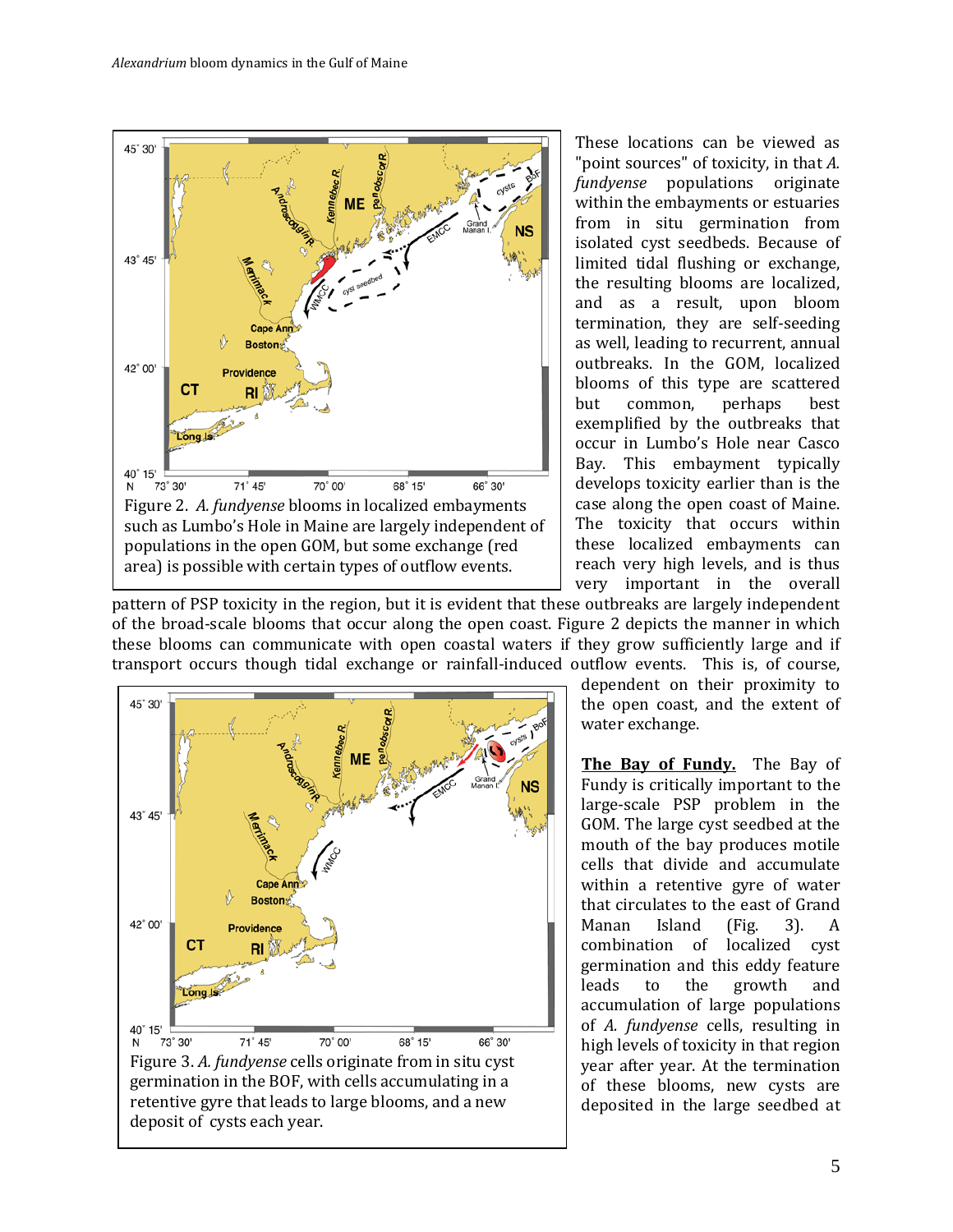

These locations can be viewed as "point sources" of toxicity, in that *A. fundyense* populations originate within the embayments or estuaries from in situ germination from isolated cyst seedbeds. Because of limited tidal flushing or exchange, the resulting blooms are localized, and as a result, upon bloom termination, they are self-seeding as well, leading to recurrent, annual outbreaks. In the GOM, localized blooms of this type are scattered<br>but common, perhaps best common, exemplified by the outbreaks that occur in Lumbo's Hole near Casco Bay. This embayment typically develops toxicity earlier than is the case along the open coast of Maine. The toxicity that occurs within these localized embayments can reach very high levels, and is thus very important in the overall

pattern of PSP toxicity in the region, but it is evident that these outbreaks are largely independent of the broad-scale blooms that occur along the open coast. Figure 2 depicts the manner in which these blooms can communicate with open coastal waters if they grow sufficiently large and if transport occurs though tidal exchange or rainfall-induced outflow events. This is, of course,



retentive gyre that leads to large blooms, and a new

deposit of cysts each year.

dependent on their proximity to the open coast, and the extent of water exchange.

**The Bay of Fundy.** The Bay of Fundy is critically important to the large-scale PSP problem in the GOM. The large cyst seedbed at the mouth of the bay produces motile cells that divide and accumulate within a retentive gyre of water that circulates to the east of Grand<br>Manan Island (Fig. 3). A Manan Island (Fig. 3). A combination of localized cyst germination and this eddy feature<br>leads to the growth and leads to the growth and accumulation of large populations of *A. fundyense* cells, resulting in high levels of toxicity in that region year after year. At the termination of these blooms, new cysts are deposited in the large seedbed at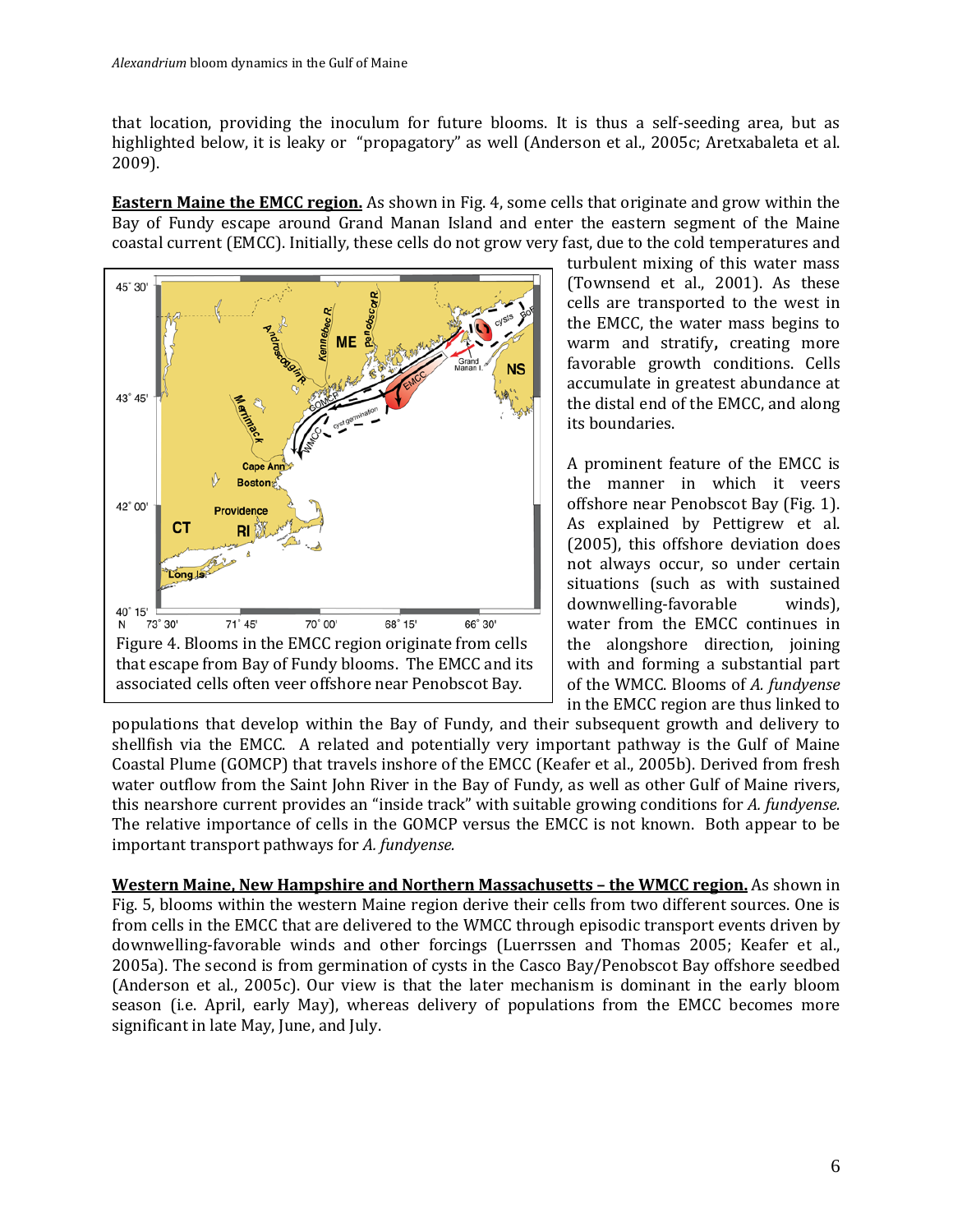that location, providing the inoculum for future blooms. It is thus a self-seeding area, but as highlighted below, it is leaky or "propagatory" as well (Anderson et al., 2005c; Aretxabaleta et al. 2009).

**Eastern Maine the EMCC region.** As shown in Fig. 4, some cells that originate and grow within the Bay of Fundy escape around Grand Manan Island and enter the eastern segment of the Maine coastal current (EMCC). Initially, these cells do not grow very fast, due to the cold temperatures and



turbulent mixing of this water mass (Townsend et al., 2001). As these cells are transported to the west in the EMCC, the water mass begins to warm and stratify**,** creating more favorable growth conditions. Cells accumulate in greatest abundance at the distal end of the EMCC, and along its boundaries.

A prominent feature of the EMCC is the manner in which it veers offshore near Penobscot Bay (Fig. 1). As explained by Pettigrew et al. (2005), this offshore deviation does not always occur, so under certain situations (such as with sustained downwelling-favorable winds), water from the EMCC continues in the alongshore direction, joining with and forming a substantial part of the WMCC. Blooms of *A. fundyense* in the EMCC region are thus linked to

populations that develop within the Bay of Fundy, and their subsequent growth and delivery to shellfish via the EMCC. A related and potentially very important pathway is the Gulf of Maine Coastal Plume (GOMCP) that travels inshore of the EMCC (Keafer et al., 2005b). Derived from fresh water outflow from the Saint John River in the Bay of Fundy, as well as other Gulf of Maine rivers, this nearshore current provides an "inside track" with suitable growing conditions for *A. fundyense.*  The relative importance of cells in the GOMCP versus the EMCC is not known. Both appear to be important transport pathways for *A. fundyense.*

**Western Maine, New Hampshire and Northern Massachusetts – the WMCC region.** As shown in Fig. 5, blooms within the western Maine region derive their cells from two different sources. One is from cells in the EMCC that are delivered to the WMCC through episodic transport events driven by downwelling-favorable winds and other forcings (Luerrssen and Thomas 2005; Keafer et al., 2005a). The second is from germination of cysts in the Casco Bay/Penobscot Bay offshore seedbed (Anderson et al., 2005c). Our view is that the later mechanism is dominant in the early bloom season (i.e. April, early May), whereas delivery of populations from the EMCC becomes more significant in late May, June, and July.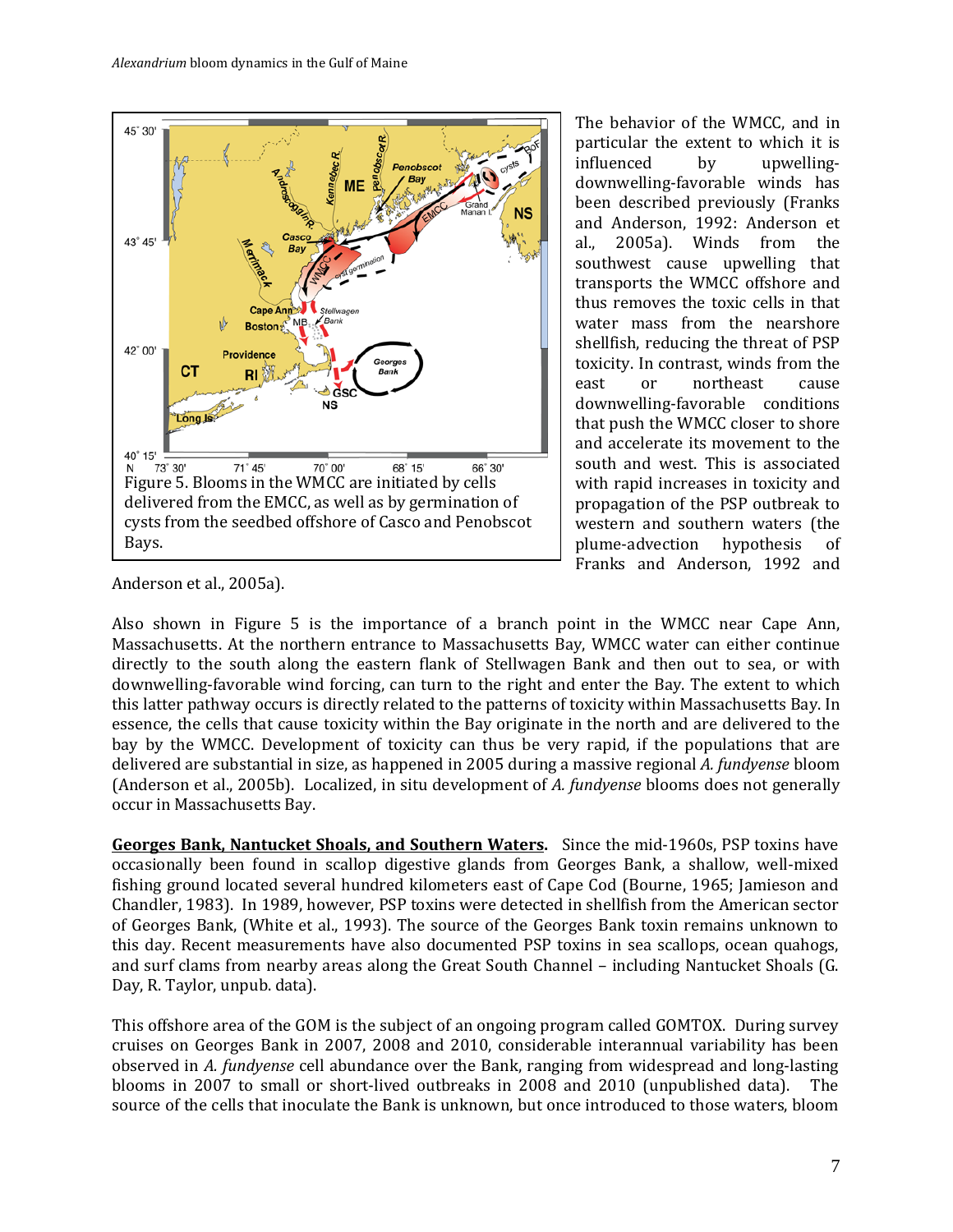

The behavior of the WMCC, and in particular the extent to which it is<br>influenced by upwellinginfluenced by upwellingdownwelling-favorable winds has been described previously (Franks and Anderson, 1992: Anderson et al., 2005a). Winds from the 2005a). Winds from southwest cause upwelling that transports the WMCC offshore and thus removes the toxic cells in that water mass from the nearshore shellfish, reducing the threat of PSP toxicity. In contrast, winds from the east or northeast cause northeast downwelling-favorable conditions that push the WMCC closer to shore and accelerate its movement to the south and west. This is associated with rapid increases in toxicity and propagation of the PSP outbreak to western and southern waters (the plume-advection hypothesis of plume-advection Franks and Anderson, 1992 and

Anderson et al., 2005a).

Also shown in Figure 5 is the importance of a branch point in the WMCC near Cape Ann, Massachusetts. At the northern entrance to Massachusetts Bay, WMCC water can either continue directly to the south along the eastern flank of Stellwagen Bank and then out to sea, or with downwelling-favorable wind forcing, can turn to the right and enter the Bay. The extent to which this latter pathway occurs is directly related to the patterns of toxicity within Massachusetts Bay. In essence, the cells that cause toxicity within the Bay originate in the north and are delivered to the bay by the WMCC. Development of toxicity can thus be very rapid, if the populations that are delivered are substantial in size, as happened in 2005 during a massive regional *A. fundyense* bloom (Anderson et al., 2005b). Localized, in situ development of *A. fundyense* blooms does not generally occur in Massachusetts Bay.

**Georges Bank, Nantucket Shoals, and Southern Waters.** Since the mid-1960s, PSP toxins have occasionally been found in scallop digestive glands from Georges Bank, a shallow, well-mixed fishing ground located several hundred kilometers east of Cape Cod (Bourne, 1965; Jamieson and Chandler, 1983). In 1989, however, PSP toxins were detected in shellfish from the American sector of Georges Bank, (White et al., 1993). The source of the Georges Bank toxin remains unknown to this day. Recent measurements have also documented PSP toxins in sea scallops, ocean quahogs, and surf clams from nearby areas along the Great South Channel – including Nantucket Shoals (G. Day, R. Taylor, unpub. data).

This offshore area of the GOM is the subject of an ongoing program called GOMTOX. During survey cruises on Georges Bank in 2007, 2008 and 2010, considerable interannual variability has been observed in *A. fundyense* cell abundance over the Bank, ranging from widespread and long-lasting blooms in 2007 to small or short-lived outbreaks in 2008 and 2010 (unpublished data). The source of the cells that inoculate the Bank is unknown, but once introduced to those waters, bloom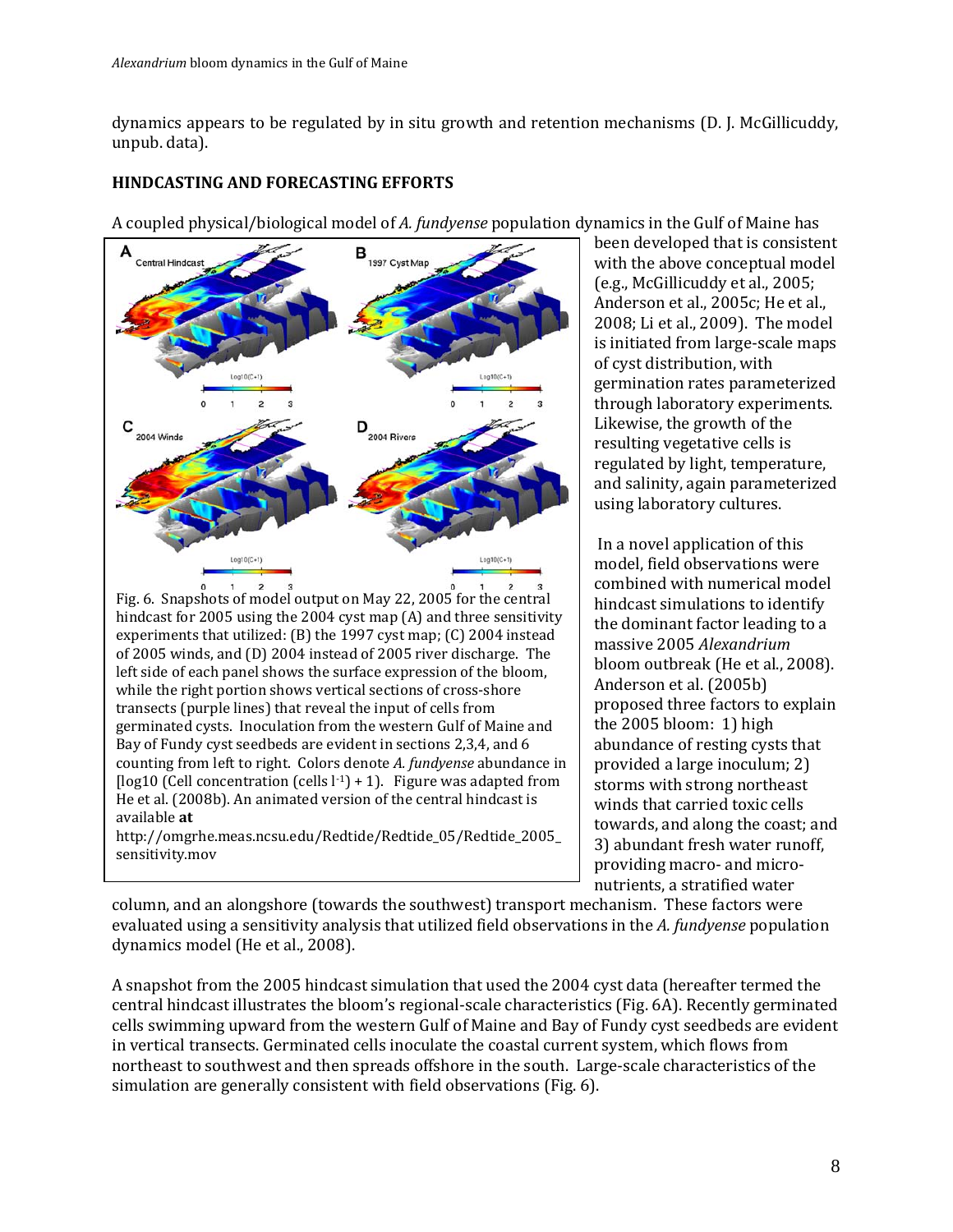dynamics appears to be regulated by in situ growth and retention mechanisms (D. J. McGillicuddy, unpub. data).

### **HINDCASTING AND FORECASTING EFFORTS**

A coupled physical/biological model of *A. fundyense* population dynamics in the Gulf of Maine has



Fig. 6. Snapshots of model output on May 22, 2005 for the central hindcast for 2005 using the 2004 cyst map (A) and three sensitivity experiments that utilized: (B) the 1997 cyst map; (C) 2004 instead of 2005 winds, and (D) 2004 instead of 2005 river discharge. The left side of each panel shows the surface expression of the bloom, while the right portion shows vertical sections of cross-shore transects (purple lines) that reveal the input of cells from germinated cysts. Inoculation from the western Gulf of Maine and Bay of Fundy cyst seedbeds are evident in sections 2,3,4, and 6 counting from left to right. Colors denote *A. fundyense* abundance in [ $log10$  (Cell concentration (cells  $l^{-1}$ ) + 1). Figure was adapted from He et al. (2008b). An animated version of the central hindcast is available **at** 

http://omgrhe.meas.ncsu.edu/Redtide/Redtide\_05/Redtide\_2005\_ sensitivity.mov

been developed that is consistent with the above conceptual model (e.g., McGillicuddy et al., 2005; Anderson et al., 2005c; He et al., 2008; Li et al., 2009). The model is initiated from large-scale maps of cyst distribution, with germination rates parameterized through laboratory experiments. Likewise, the growth of the resulting vegetative cells is regulated by light, temperature, and salinity, again parameterized using laboratory cultures.

In a novel application of this model, field observations were combined with numerical model hindcast simulations to identify the dominant factor leading to a massive 2005 *Alexandrium* bloom outbreak (He et al., 2008). Anderson et al. (2005b) proposed three factors to explain the 2005 bloom: 1) high abundance of resting cysts that provided a large inoculum; 2) storms with strong northeast winds that carried toxic cells towards, and along the coast; and 3) abundant fresh water runoff, providing macro- and micronutrients, a stratified water

column, and an alongshore (towards the southwest) transport mechanism. These factors were evaluated using a sensitivity analysis that utilized field observations in the *A. fundyense* population dynamics model (He et al., 2008).

A snapshot from the 2005 hindcast simulation that used the 2004 cyst data (hereafter termed the central hindcast illustrates the bloom's regional-scale characteristics (Fig. 6A). Recently germinated cells swimming upward from the western Gulf of Maine and Bay of Fundy cyst seedbeds are evident in vertical transects. Germinated cells inoculate the coastal current system, which flows from northeast to southwest and then spreads offshore in the south. Large-scale characteristics of the simulation are generally consistent with field observations (Fig. 6).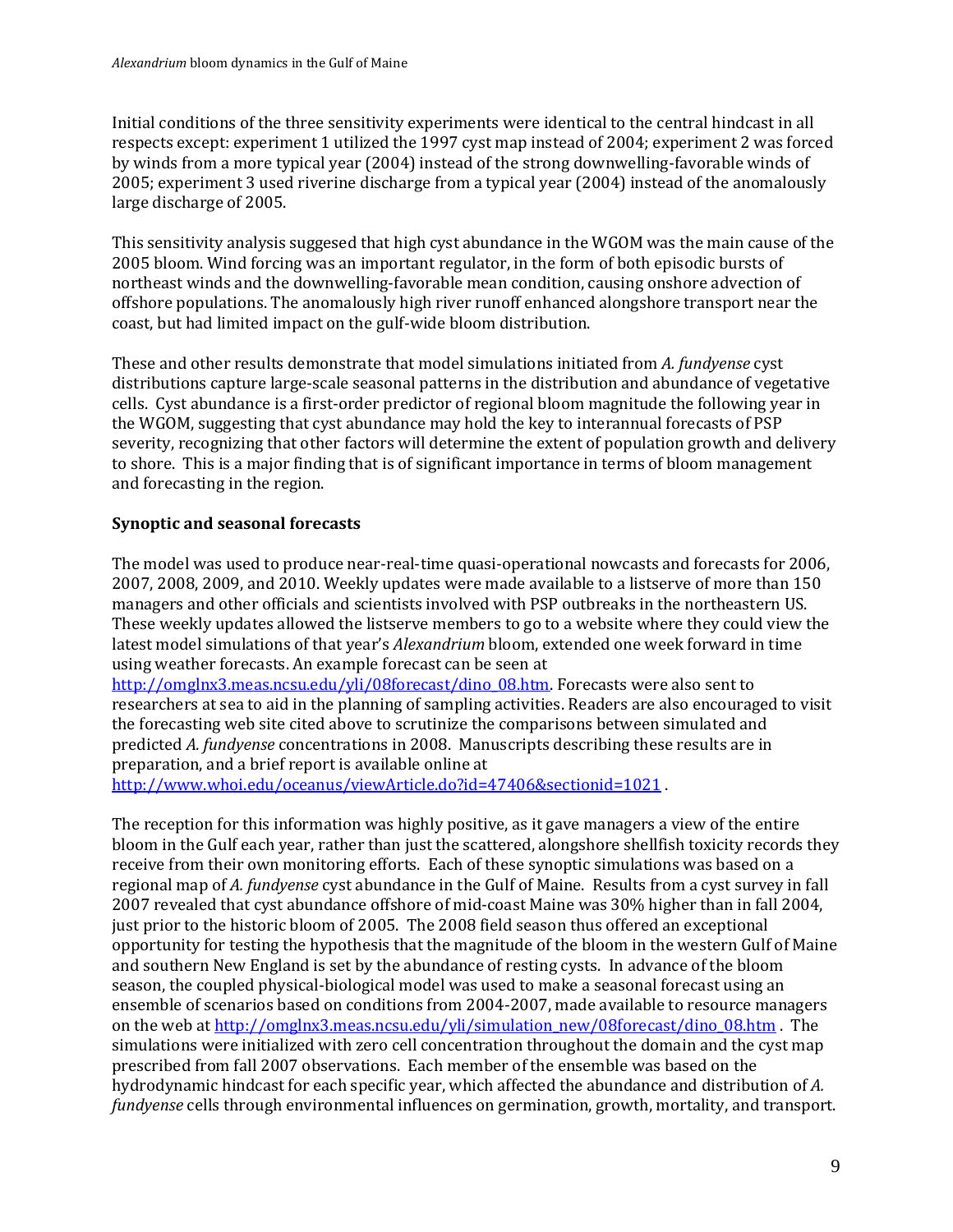Initial conditions of the three sensitivity experiments were identical to the central hindcast in all respects except: experiment 1 utilized the 1997 cyst map instead of 2004; experiment 2 was forced by winds from a more typical year (2004) instead of the strong downwelling-favorable winds of 2005; experiment 3 used riverine discharge from a typical year (2004) instead of the anomalously large discharge of 2005.

This sensitivity analysis suggesed that high cyst abundance in the WGOM was the main cause of the 2005 bloom. Wind forcing was an important regulator, in the form of both episodic bursts of northeast winds and the downwelling-favorable mean condition, causing onshore advection of offshore populations. The anomalously high river runoff enhanced alongshore transport near the coast, but had limited impact on the gulf-wide bloom distribution.

These and other results demonstrate that model simulations initiated from *A. fundyense* cyst distributions capture large-scale seasonal patterns in the distribution and abundance of vegetative cells. Cyst abundance is a first-order predictor of regional bloom magnitude the following year in the WGOM, suggesting that cyst abundance may hold the key to interannual forecasts of PSP severity, recognizing that other factors will determine the extent of population growth and delivery to shore. This is a major finding that is of significant importance in terms of bloom management and forecasting in the region.

# **Synoptic and seasonal forecasts**

The model was used to produce near-real-time quasi-operational nowcasts and forecasts for 2006, 2007, 2008, 2009, and 2010. Weekly updates were made available to a listserve of more than 150 managers and other officials and scientists involved with PSP outbreaks in the northeastern US. These weekly updates allowed the listserve members to go to a website where they could view the latest model simulations of that year's *Alexandrium* bloom, extended one week forward in time using weather forecasts. An example forecast can be seen at

[http://omglnx3.meas.ncsu.edu/yli/08forecast/dino\\_08.htm.](http://omglnx3.meas.ncsu.edu/yli/08forecast/dino_08.htm) Forecasts were also sent to researchers at sea to aid in the planning of sampling activities. Readers are also encouraged to visit the forecasting web site cited above to scrutinize the comparisons between simulated and predicted *A. fundyense* concentrations in 2008. Manuscripts describing these results are in preparation, and a brief report is available online at

[http://www.whoi.edu/oceanus/viewArticle.do?id=47406&sectionid=1021](http://www.whoi.edu/oceanus/viewArticle.do?id=47406§ionid=1021)

The reception for this information was highly positive, as it gave managers a view of the entire bloom in the Gulf each year, rather than just the scattered, alongshore shellfish toxicity records they receive from their own monitoring efforts. Each of these synoptic simulations was based on a regional map of *A. fundyense* cyst abundance in the Gulf of Maine. Results from a cyst survey in fall 2007 revealed that cyst abundance offshore of mid-coast Maine was 30% higher than in fall 2004, just prior to the historic bloom of 2005. The 2008 field season thus offered an exceptional opportunity for testing the hypothesis that the magnitude of the bloom in the western Gulf of Maine and southern New England is set by the abundance of resting cysts. In advance of the bloom season, the coupled physical-biological model was used to make a seasonal forecast using an ensemble of scenarios based on conditions from 2004-2007, made available to resource managers on the web at [http://omglnx3.meas.ncsu.edu/yli/simulation\\_new/08forecast/dino\\_08.htm](http://omglnx3.meas.ncsu.edu/yli/simulation_new/08forecast/dino_08.htm) . The simulations were initialized with zero cell concentration throughout the domain and the cyst map prescribed from fall 2007 observations. Each member of the ensemble was based on the hydrodynamic hindcast for each specific year, which affected the abundance and distribution of *A. fundyense* cells through environmental influences on germination, growth, mortality, and transport.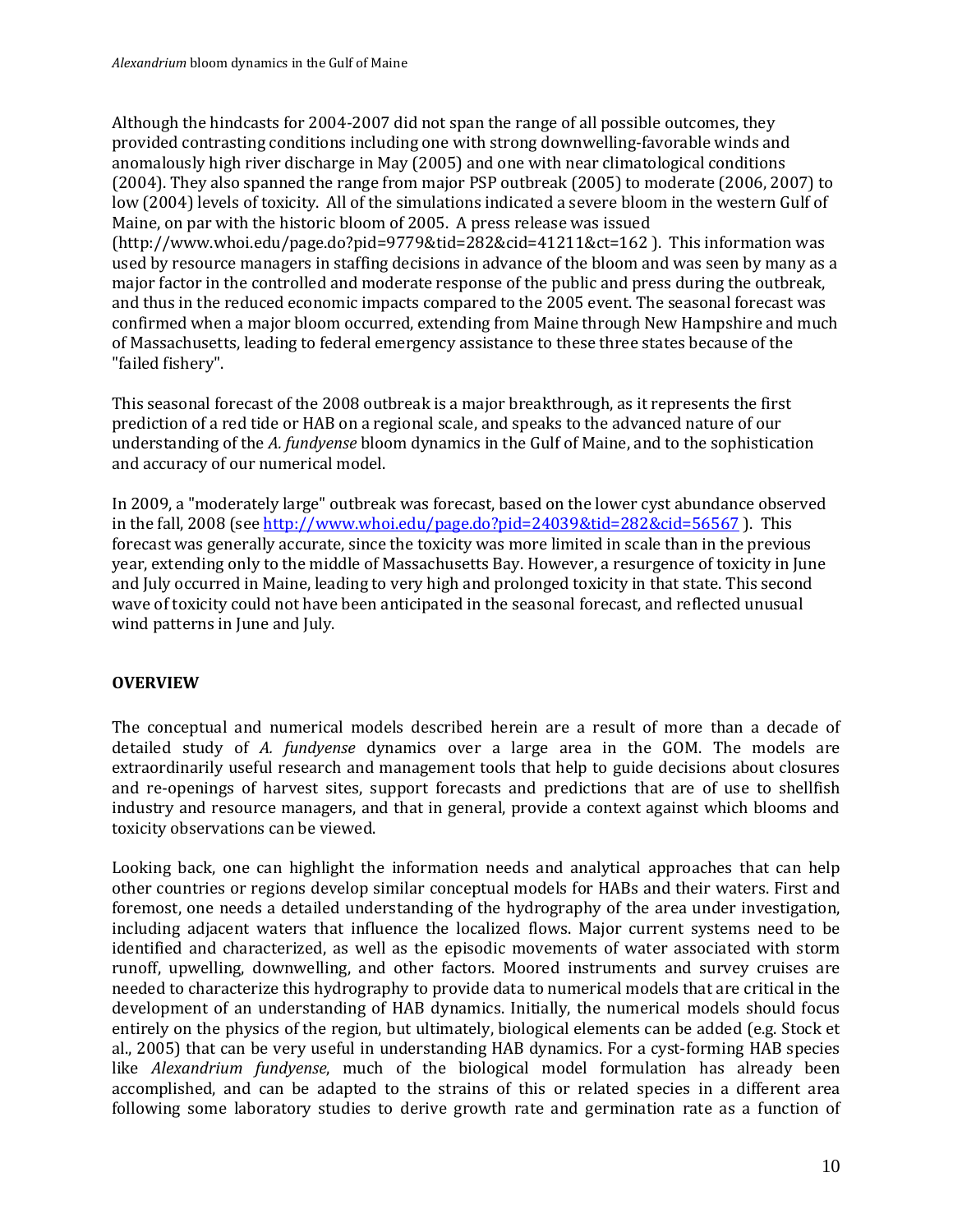Although the hindcasts for 2004-2007 did not span the range of all possible outcomes, they provided contrasting conditions including one with strong downwelling-favorable winds and anomalously high river discharge in May (2005) and one with near climatological conditions (2004). They also spanned the range from major PSP outbreak (2005) to moderate (2006, 2007) to low (2004) levels of toxicity. All of the simulations indicated a severe bloom in the western Gulf of Maine, on par with the historic bloom of 2005. A press release was issued (http://www.whoi.edu/page.do?pid=9779&tid=282&cid=41211&ct=162 ). This information was used by resource managers in staffing decisions in advance of the bloom and was seen by many as a major factor in the controlled and moderate response of the public and press during the outbreak, and thus in the reduced economic impacts compared to the 2005 event. The seasonal forecast was confirmed when a major bloom occurred, extending from Maine through New Hampshire and much of Massachusetts, leading to federal emergency assistance to these three states because of the "failed fishery".

This seasonal forecast of the 2008 outbreak is a major breakthrough, as it represents the first prediction of a red tide or HAB on a regional scale, and speaks to the advanced nature of our understanding of the *A. fundyense* bloom dynamics in the Gulf of Maine, and to the sophistication and accuracy of our numerical model.

In 2009, a "moderately large" outbreak was forecast, based on the lower cyst abundance observed in the fall, 2008 (se[e http://www.whoi.edu/page.do?pid=24039&tid=282&cid=56567](http://www.whoi.edu/page.do?pid=24039&tid=282&cid=56567) ). This forecast was generally accurate, since the toxicity was more limited in scale than in the previous year, extending only to the middle of Massachusetts Bay. However, a resurgence of toxicity in June and July occurred in Maine, leading to very high and prolonged toxicity in that state. This second wave of toxicity could not have been anticipated in the seasonal forecast, and reflected unusual wind patterns in June and July.

### **OVERVIEW**

The conceptual and numerical models described herein are a result of more than a decade of detailed study of *A. fundyense* dynamics over a large area in the GOM. The models are extraordinarily useful research and management tools that help to guide decisions about closures and re-openings of harvest sites, support forecasts and predictions that are of use to shellfish industry and resource managers, and that in general, provide a context against which blooms and toxicity observations can be viewed.

Looking back, one can highlight the information needs and analytical approaches that can help other countries or regions develop similar conceptual models for HABs and their waters. First and foremost, one needs a detailed understanding of the hydrography of the area under investigation, including adjacent waters that influence the localized flows. Major current systems need to be identified and characterized, as well as the episodic movements of water associated with storm runoff, upwelling, downwelling, and other factors. Moored instruments and survey cruises are needed to characterize this hydrography to provide data to numerical models that are critical in the development of an understanding of HAB dynamics. Initially, the numerical models should focus entirely on the physics of the region, but ultimately, biological elements can be added (e.g. Stock et al., 2005) that can be very useful in understanding HAB dynamics. For a cyst-forming HAB species like *Alexandrium fundyense*, much of the biological model formulation has already been accomplished, and can be adapted to the strains of this or related species in a different area following some laboratory studies to derive growth rate and germination rate as a function of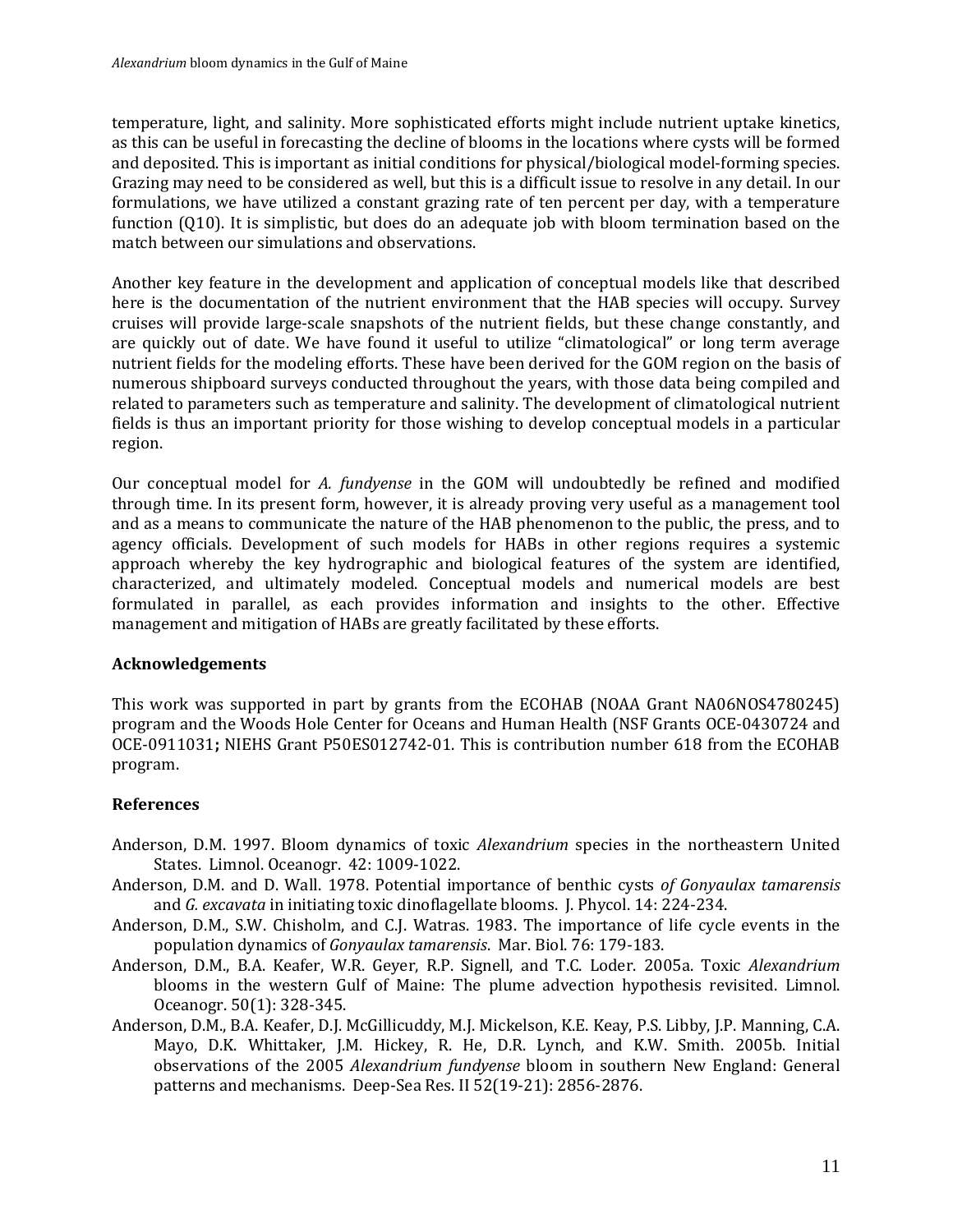temperature, light, and salinity. More sophisticated efforts might include nutrient uptake kinetics, as this can be useful in forecasting the decline of blooms in the locations where cysts will be formed and deposited. This is important as initial conditions for physical/biological model-forming species. Grazing may need to be considered as well, but this is a difficult issue to resolve in any detail. In our formulations, we have utilized a constant grazing rate of ten percent per day, with a temperature function (Q10). It is simplistic, but does do an adequate job with bloom termination based on the match between our simulations and observations.

Another key feature in the development and application of conceptual models like that described here is the documentation of the nutrient environment that the HAB species will occupy. Survey cruises will provide large-scale snapshots of the nutrient fields, but these change constantly, and are quickly out of date. We have found it useful to utilize "climatological" or long term average nutrient fields for the modeling efforts. These have been derived for the GOM region on the basis of numerous shipboard surveys conducted throughout the years, with those data being compiled and related to parameters such as temperature and salinity. The development of climatological nutrient fields is thus an important priority for those wishing to develop conceptual models in a particular region.

Our conceptual model for *A. fundyense* in the GOM will undoubtedly be refined and modified through time. In its present form, however, it is already proving very useful as a management tool and as a means to communicate the nature of the HAB phenomenon to the public, the press, and to agency officials. Development of such models for HABs in other regions requires a systemic approach whereby the key hydrographic and biological features of the system are identified, characterized, and ultimately modeled. Conceptual models and numerical models are best formulated in parallel, as each provides information and insights to the other. Effective management and mitigation of HABs are greatly facilitated by these efforts.

# **Acknowledgements**

This work was supported in part by grants from the ECOHAB (NOAA Grant NA06NOS4780245) program and the Woods Hole Center for Oceans and Human Health (NSF Grants OCE-0430724 and OCE-0911031**;** NIEHS Grant P50ES012742-01. This is contribution number 618 from the ECOHAB program.

# **References**

- Anderson, D.M. 1997. Bloom dynamics of toxic *Alexandrium* species in the northeastern United States. Limnol. Oceanogr. 42: 1009-1022.
- Anderson, D.M. and D. Wall. 1978. Potential importance of benthic cysts *of Gonyaulax tamarensis* and *G. excavata* in initiating toxic dinoflagellate blooms. J. Phycol. 14: 224-234.
- Anderson, D.M., S.W. Chisholm, and C.J. Watras. 1983. The importance of life cycle events in the population dynamics of *Gonyaulax tamarensis*. Mar. Biol. 76: 179-183.
- Anderson, D.M., B.A. Keafer, W.R. Geyer, R.P. Signell, and T.C. Loder. 2005a. Toxic *Alexandrium* blooms in the western Gulf of Maine: The plume advection hypothesis revisited. Limnol. Oceanogr. 50(1): 328-345.
- Anderson, D.M., B.A. Keafer, D.J. McGillicuddy, M.J. Mickelson, K.E. Keay, P.S. Libby, J.P. Manning, C.A. Mayo, D.K. Whittaker, J.M. Hickey, R. He, D.R. Lynch, and K.W. Smith. 2005b. Initial observations of the 2005 *Alexandrium fundyense* bloom in southern New England: General patterns and mechanisms. Deep-Sea Res. II 52(19-21): 2856-2876.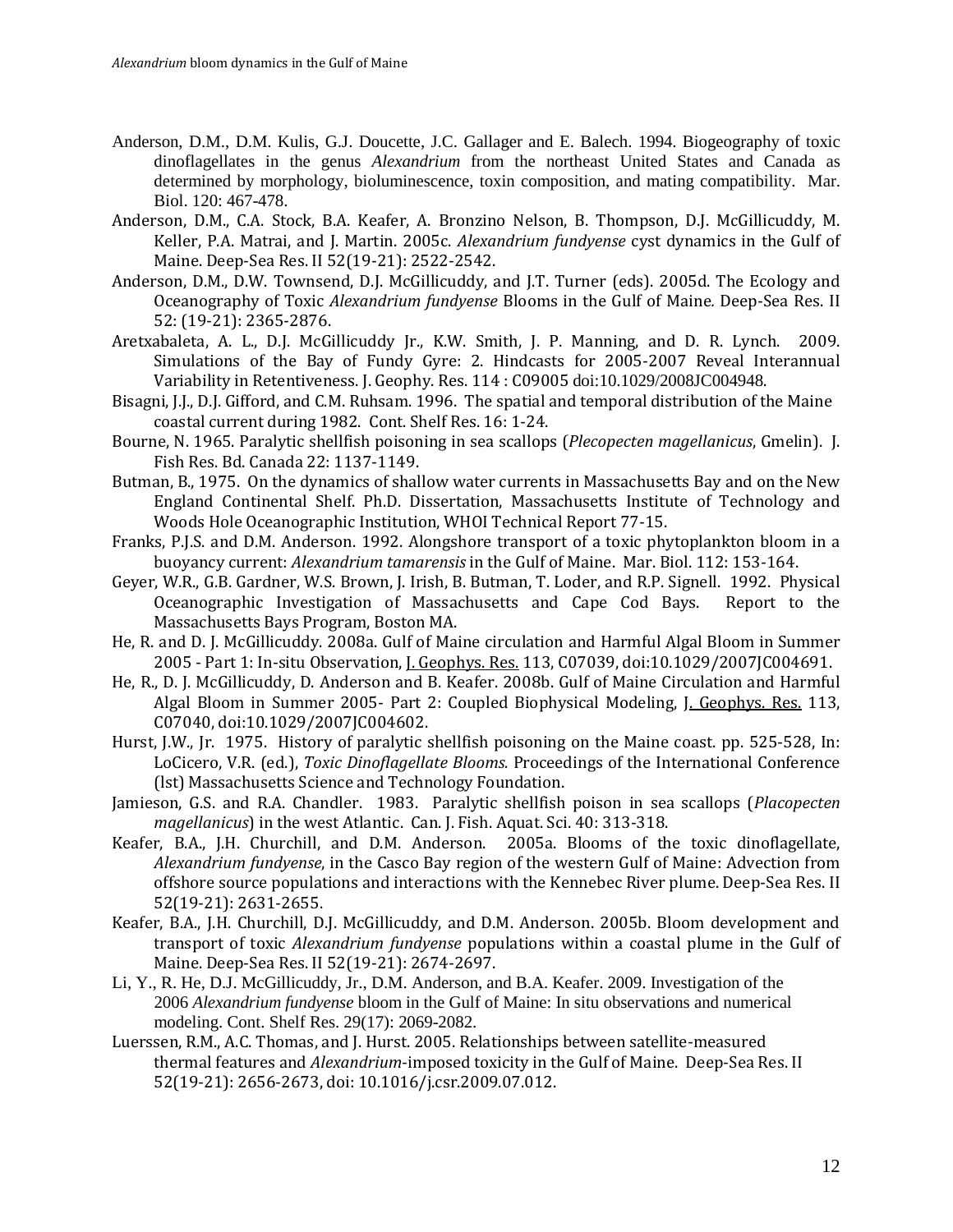- Anderson, D.M., D.M. Kulis, G.J. Doucette, J.C. Gallager and E. Balech. 1994. Biogeography of toxic dinoflagellates in the genus *Alexandrium* from the northeast United States and Canada as determined by morphology, bioluminescence, toxin composition, and mating compatibility. Mar. Biol. 120: 467-478.
- Anderson, D.M., C.A. Stock, B.A. Keafer, A. Bronzino Nelson, B. Thompson, D.J. McGillicuddy, M. Keller, P.A. Matrai, and J. Martin. 2005c. *Alexandrium fundyense* cyst dynamics in the Gulf of Maine. Deep-Sea Res. II 52(19-21): 2522-2542.
- Anderson, D.M., D.W. Townsend, D.J. McGillicuddy, and J.T. Turner (eds). 2005d. The Ecology and Oceanography of Toxic *Alexandrium fundyense* Blooms in the Gulf of Maine*.* Deep-Sea Res. II 52: (19-21): 2365-2876.
- Aretxabaleta, A. L., D.J. McGillicuddy Jr., K.W. Smith, J. P. Manning, and D. R. Lynch. 2009. Simulations of the Bay of Fundy Gyre: 2. Hindcasts for 2005-2007 Reveal Interannual Variability in Retentiveness. J. Geophy. Res. 114 : C09005 doi:10.1029/2008JC004948.
- Bisagni, J.J., D.J. Gifford, and C.M. Ruhsam. 1996. The spatial and temporal distribution of the Maine coastal current during 1982. Cont. Shelf Res. 16: 1-24.
- Bourne, N. 1965. Paralytic shellfish poisoning in sea scallops (*Plecopecten magellanicus*, Gmelin). J. Fish Res. Bd. Canada 22: 1137-1149.
- Butman, B., 1975. On the dynamics of shallow water currents in Massachusetts Bay and on the New England Continental Shelf. Ph.D. Dissertation, Massachusetts Institute of Technology and Woods Hole Oceanographic Institution, WHOI Technical Report 77-15.
- Franks, P.J.S. and D.M. Anderson. 1992. Alongshore transport of a toxic phytoplankton bloom in a buoyancy current: *Alexandrium tamarensis* in the Gulf of Maine. Mar. Biol. 112: 153-164.
- Geyer, W.R., G.B. Gardner, W.S. Brown, J. Irish, B. Butman, T. Loder, and R.P. Signell. 1992. Physical Oceanographic Investigation of Massachusetts and Cape Cod Bays. Massachusetts Bays Program, Boston MA.
- He, R. and D. J. McGillicuddy. 2008a. Gulf of Maine circulation and Harmful Algal Bloom in Summer 2005 - Part 1: In-situ Observation, J. Geophys. Res. 113, C07039, doi:10.1029/2007JC004691.
- He, R., D. J. McGillicuddy, D. Anderson and B. Keafer. 2008b. Gulf of Maine Circulation and Harmful Algal Bloom in Summer 2005- Part 2: Coupled Biophysical Modeling, J. Geophys. Res. 113, C07040, doi:10.1029/2007JC004602.
- Hurst, J.W., Jr. 1975. History of paralytic shellfish poisoning on the Maine coast. pp. 525-528, In: LoCicero, V.R. (ed.), *Toxic Dinoflagellate Blooms.* Proceedings of the International Conference (lst) Massachusetts Science and Technology Foundation.
- Jamieson, G.S. and R.A. Chandler. 1983. Paralytic shellfish poison in sea scallops (*Placopecten magellanicus*) in the west Atlantic. Can. J. Fish. Aquat. Sci. 40: 313-318.
- Keafer, B.A., J.H. Churchill, and D.M. Anderson. 2005a. Blooms of the toxic dinoflagellate, *Alexandrium fundyense*, in the Casco Bay region of the western Gulf of Maine: Advection from offshore source populations and interactions with the Kennebec River plume. Deep-Sea Res. II 52(19-21): 2631-2655.
- Keafer, B.A., J.H. Churchill, D.J. McGillicuddy, and D.M. Anderson. 2005b. Bloom development and transport of toxic *Alexandrium fundyense* populations within a coastal plume in the Gulf of Maine. Deep-Sea Res. II 52(19-21): 2674-2697.
- Li, Y., R. He, D.J. McGillicuddy, Jr., D.M. Anderson, and B.A. Keafer. 2009. Investigation of the 2006 *Alexandrium fundyense* bloom in the Gulf of Maine: In situ observations and numerical modeling. Cont. Shelf Res. 29(17): 2069-2082.
- Luerssen, R.M., A.C. Thomas, and J. Hurst. 2005. Relationships between satellite-measured thermal features and *Alexandrium*-imposed toxicity in the Gulf of Maine. Deep-Sea Res. II 52(19-21): 2656-2673, doi: 10.1016/j.csr.2009.07.012.